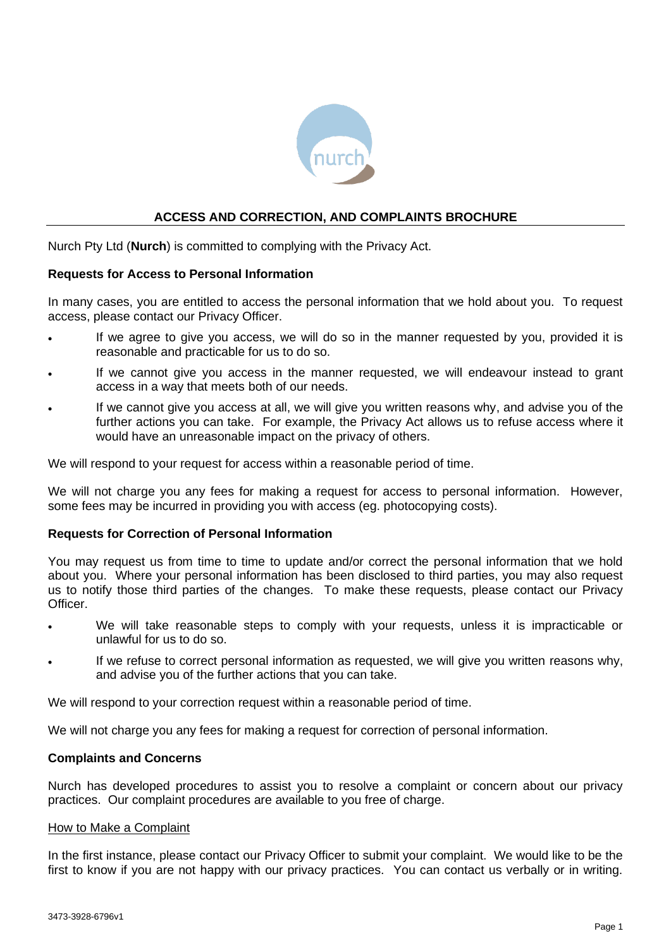

# **ACCESS AND CORRECTION, AND COMPLAINTS BROCHURE**

Nurch Pty Ltd (**Nurch**) is committed to complying with the Privacy Act.

### **Requests for Access to Personal Information**

In many cases, you are entitled to access the personal information that we hold about you. To request access, please contact our Privacy Officer.

- If we agree to give you access, we will do so in the manner requested by you, provided it is reasonable and practicable for us to do so.
- If we cannot give you access in the manner requested, we will endeavour instead to grant access in a way that meets both of our needs.
- If we cannot give you access at all, we will give you written reasons why, and advise you of the further actions you can take. For example, the Privacy Act allows us to refuse access where it would have an unreasonable impact on the privacy of others.

We will respond to your request for access within a reasonable period of time.

We will not charge you any fees for making a request for access to personal information. However, some fees may be incurred in providing you with access (eg. photocopying costs).

#### **Requests for Correction of Personal Information**

You may request us from time to time to update and/or correct the personal information that we hold about you. Where your personal information has been disclosed to third parties, you may also request us to notify those third parties of the changes. To make these requests, please contact our Privacy Officer.

- We will take reasonable steps to comply with your requests, unless it is impracticable or unlawful for us to do so.
- If we refuse to correct personal information as requested, we will give you written reasons why, and advise you of the further actions that you can take.

We will respond to your correction request within a reasonable period of time.

We will not charge you any fees for making a request for correction of personal information.

#### **Complaints and Concerns**

Nurch has developed procedures to assist you to resolve a complaint or concern about our privacy practices. Our complaint procedures are available to you free of charge.

#### How to Make a Complaint

In the first instance, please contact our Privacy Officer to submit your complaint. We would like to be the first to know if you are not happy with our privacy practices. You can contact us verbally or in writing.